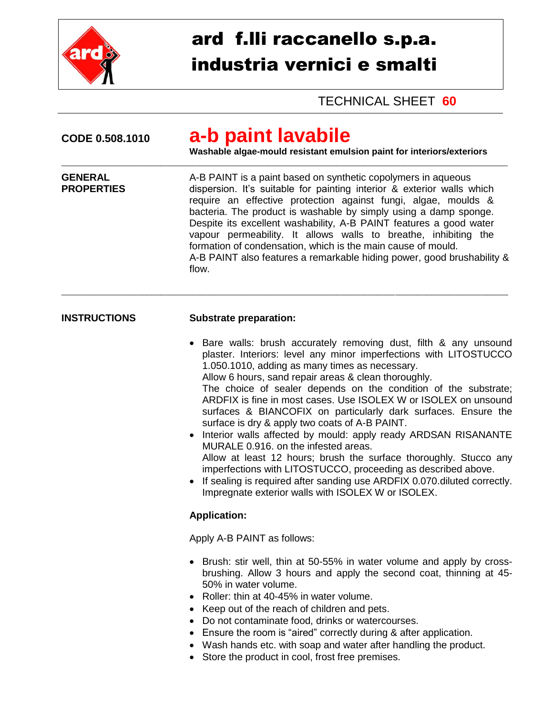

## ard f.lli raccanello s.p.a. industria vernici e smalti

## TECHNICAL SHEET **60**

| CODE 0.508.1010                     | a-b paint lavabile<br>Washable algae-mould resistant emulsion paint for interiors/exteriors                                                                                                                                                                                                                                                                                                                                                                                                                                                                                                                                                                                                                                                                                                                                                                                                    |  |  |
|-------------------------------------|------------------------------------------------------------------------------------------------------------------------------------------------------------------------------------------------------------------------------------------------------------------------------------------------------------------------------------------------------------------------------------------------------------------------------------------------------------------------------------------------------------------------------------------------------------------------------------------------------------------------------------------------------------------------------------------------------------------------------------------------------------------------------------------------------------------------------------------------------------------------------------------------|--|--|
| <b>GENERAL</b><br><b>PROPERTIES</b> | A-B PAINT is a paint based on synthetic copolymers in aqueous<br>dispersion. It's suitable for painting interior & exterior walls which<br>require an effective protection against fungi, algae, moulds &<br>bacteria. The product is washable by simply using a damp sponge.<br>Despite its excellent washability, A-B PAINT features a good water<br>vapour permeability. It allows walls to breathe, inhibiting the<br>formation of condensation, which is the main cause of mould.<br>A-B PAINT also features a remarkable hiding power, good brushability &<br>flow.                                                                                                                                                                                                                                                                                                                      |  |  |
| <b>INSTRUCTIONS</b>                 | <b>Substrate preparation:</b>                                                                                                                                                                                                                                                                                                                                                                                                                                                                                                                                                                                                                                                                                                                                                                                                                                                                  |  |  |
|                                     | • Bare walls: brush accurately removing dust, filth & any unsound<br>plaster. Interiors: level any minor imperfections with LITOSTUCCO<br>1.050.1010, adding as many times as necessary.<br>Allow 6 hours, sand repair areas & clean thoroughly.<br>The choice of sealer depends on the condition of the substrate;<br>ARDFIX is fine in most cases. Use ISOLEX W or ISOLEX on unsound<br>surfaces & BIANCOFIX on particularly dark surfaces. Ensure the<br>surface is dry & apply two coats of A-B PAINT.<br>Interior walls affected by mould: apply ready ARDSAN RISANANTE<br>MURALE 0.916, on the infested areas.<br>Allow at least 12 hours; brush the surface thoroughly. Stucco any<br>imperfections with LITOSTUCCO, proceeding as described above.<br>• If sealing is required after sanding use ARDFIX 0.070 diluted correctly.<br>Impregnate exterior walls with ISOLEX W or ISOLEX. |  |  |
|                                     | <b>Application:</b>                                                                                                                                                                                                                                                                                                                                                                                                                                                                                                                                                                                                                                                                                                                                                                                                                                                                            |  |  |
|                                     | Apply A-B PAINT as follows:                                                                                                                                                                                                                                                                                                                                                                                                                                                                                                                                                                                                                                                                                                                                                                                                                                                                    |  |  |
|                                     | Brush: stir well, thin at 50-55% in water volume and apply by cross-<br>$\bullet$<br>brushing. Allow 3 hours and apply the second coat, thinning at 45-<br>50% in water volume.<br>Roller: thin at 40-45% in water volume.<br>• Keep out of the reach of children and pets.<br>• Do not contaminate food, drinks or watercourses.<br>• Ensure the room is "aired" correctly during & after application.<br>• Wash hands etc. with soap and water after handling the product.<br>• Store the product in cool, frost free premises.                                                                                                                                                                                                                                                                                                                                                              |  |  |